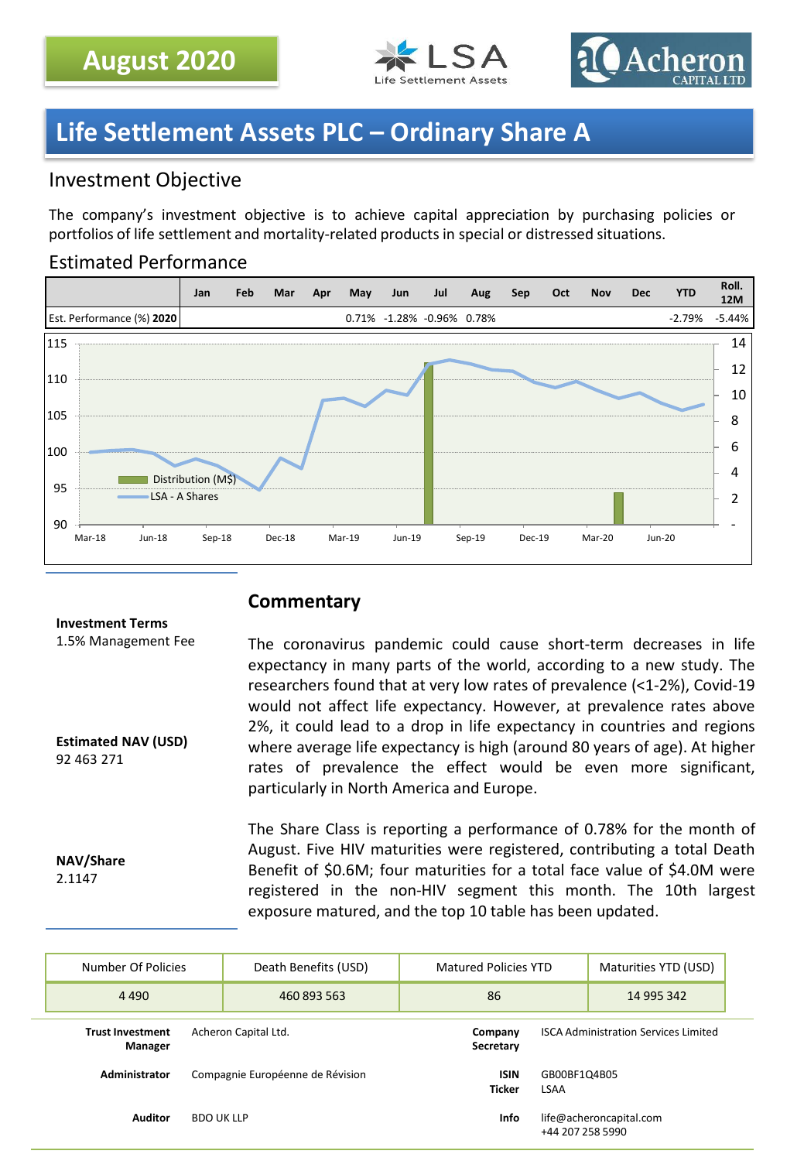



# **Life Settlement Assets PLC – Ordinary Share A**

# Investment Objective

The company's investment objective is to achieve capital appreciation by purchasing policies or portfolios of life settlement and mortality-related products in special or distressed situations.

## Estimated Performance



## **Commentary**

#### **Investment Terms**

1.5% Management Fee

**Estimated NAV (USD)** 92 463 271

**NAV/Share** 2.1147

The coronavirus pandemic could cause short-term decreases in life expectancy in many parts of the world, according to a new study. The researchers found that at very low rates of prevalence (<1-2%), Covid-19 would not affect life expectancy. However, at prevalence rates above 2%, it could lead to a drop in life expectancy in countries and regions where average life expectancy is high (around 80 years of age). At higher rates of prevalence the effect would be even more significant, particularly in North America and Europe.

The Share Class is reporting a performance of 0.78% for the month of August. Five HIV maturities were registered, contributing a total Death Benefit of \$0.6M; four maturities for a total face value of \$4.0M were registered in the non-HIV segment this month. The 10th largest exposure matured, and the top 10 table has been updated.

| Number Of Policies                                         | Death Benefits (USD)                                | Matured Policies YTD                        |                      | Maturities YTD (USD) |
|------------------------------------------------------------|-----------------------------------------------------|---------------------------------------------|----------------------|----------------------|
| 4 4 9 0                                                    | 460 893 563                                         | 86                                          |                      | 14 995 342           |
| Acheron Capital Ltd.<br><b>Trust Investment</b><br>Manager | Company<br>Secretary                                | <b>ISCA Administration Services Limited</b> |                      |                      |
| Administrator                                              | Compagnie Européenne de Révision                    | <b>ISIN</b><br><b>Ticker</b>                | GB00BF1Q4B05<br>LSAA |                      |
| Auditor<br><b>BDO UK LLP</b>                               | life@acheroncapital.com<br>Info<br>+44 207 258 5990 |                                             |                      |                      |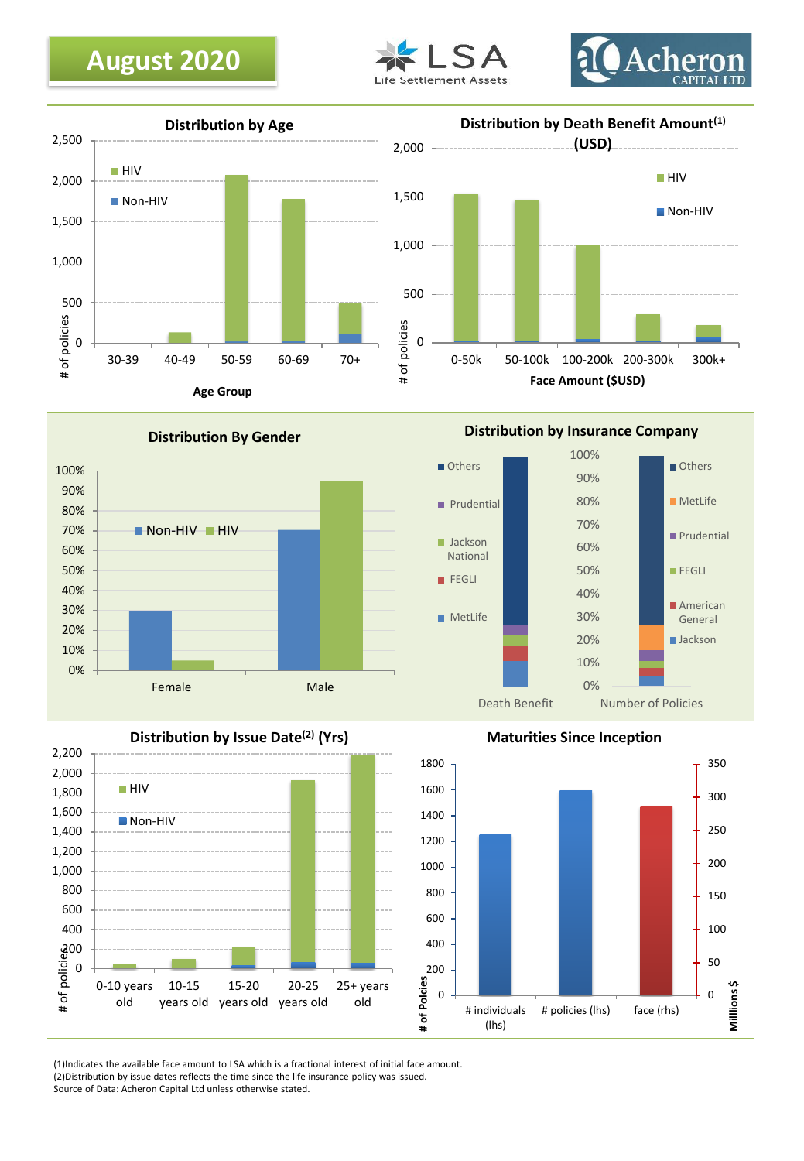







**Distribution By Gender**



**Distribution by Insurance Company**





**Maturities Since Inception**



(1)Indicates the available face amount to LSA which is a fractional interest of initial face amount. (2)Distribution by issue dates reflects the time since the life insurance policy was issued. Source of Data: Acheron Capital Ltd unless otherwise stated.